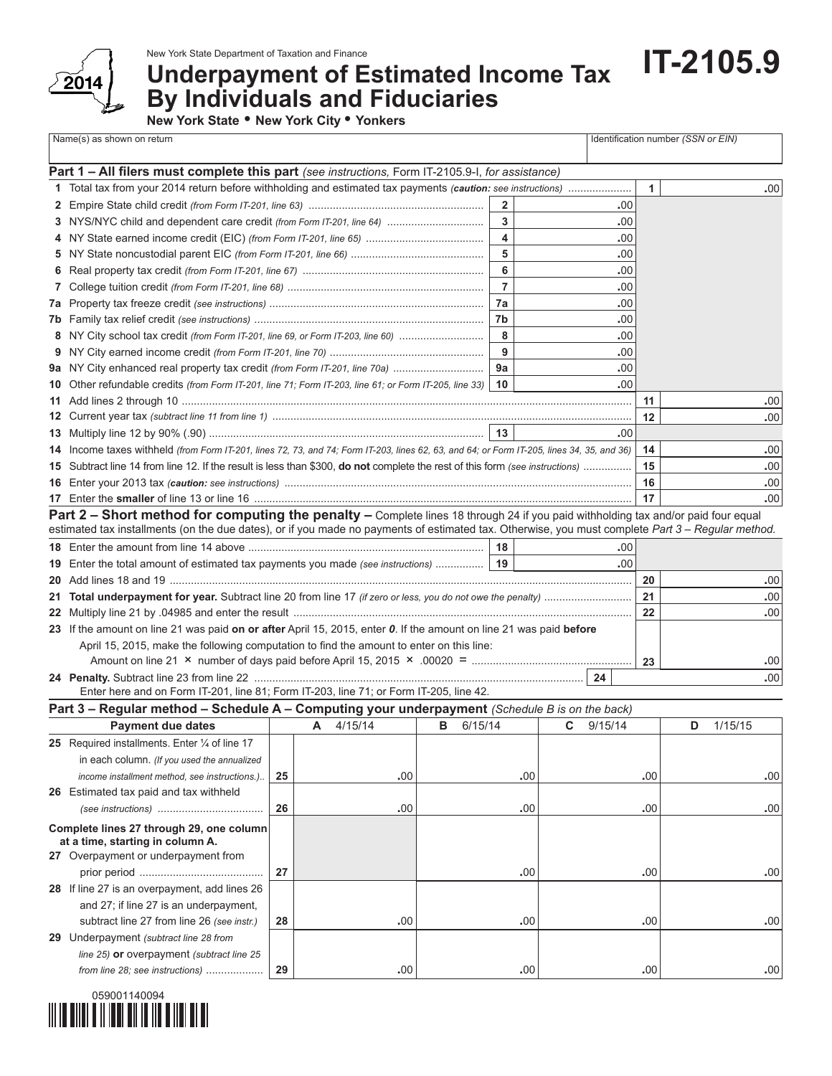

New York State Department of Taxation and Finance

## **Underpayment of Estimated Income Tax By Individuals and Fiduciaries**

**IT-2105.9**

**New York State • New York City • Yonkers** 

| Identification number (SSN or EIN)<br>Name(s) as shown on return |                                                                                                                                                   |    |                                                                                |           |     |                  |                         |     |     |               |              |     |         |     |
|------------------------------------------------------------------|---------------------------------------------------------------------------------------------------------------------------------------------------|----|--------------------------------------------------------------------------------|-----------|-----|------------------|-------------------------|-----|-----|---------------|--------------|-----|---------|-----|
|                                                                  |                                                                                                                                                   |    |                                                                                |           |     |                  |                         |     |     |               |              |     |         |     |
|                                                                  | Part 1 - All filers must complete this part (see instructions, Form IT-2105.9-I, for assistance)                                                  |    |                                                                                |           |     |                  |                         |     |     |               |              |     |         |     |
|                                                                  |                                                                                                                                                   |    |                                                                                |           |     |                  |                         |     |     |               | $\mathbf{1}$ |     |         | .00 |
|                                                                  |                                                                                                                                                   |    |                                                                                |           |     |                  | $\overline{2}$          |     |     | .00           |              |     |         |     |
|                                                                  | 3 NYS/NYC child and dependent care credit (from Form IT-201, line 64)                                                                             |    |                                                                                |           |     |                  | 3                       |     |     | .00           |              |     |         |     |
|                                                                  |                                                                                                                                                   |    |                                                                                |           |     |                  | $\overline{\mathbf{4}}$ |     |     | .00           |              |     |         |     |
|                                                                  |                                                                                                                                                   |    |                                                                                |           |     |                  | 5                       |     |     | .00           |              |     |         |     |
|                                                                  |                                                                                                                                                   |    |                                                                                |           |     |                  | 6                       |     |     | .00           |              |     |         |     |
|                                                                  |                                                                                                                                                   |    |                                                                                |           |     |                  | $\overline{7}$          |     |     | .00           |              |     |         |     |
|                                                                  |                                                                                                                                                   |    |                                                                                |           |     |                  | 7а                      |     |     | .00           |              |     |         |     |
|                                                                  |                                                                                                                                                   |    |                                                                                |           |     |                  | 7b                      |     |     | .00           |              |     |         |     |
| 8                                                                |                                                                                                                                                   |    | NY City school tax credit (from Form IT-201, line 69, or Form IT-203, line 60) |           |     |                  |                         |     | .00 |               |              |     |         |     |
|                                                                  |                                                                                                                                                   |    |                                                                                |           |     |                  |                         |     | .00 |               |              |     |         |     |
|                                                                  | 9a NY City enhanced real property tax credit (from Form IT-201, line 70a)                                                                         |    |                                                                                |           |     |                  | 9a                      |     |     | .00           |              |     |         |     |
|                                                                  | 10 Other refundable credits (from Form IT-201, line 71; Form IT-203, line 61; or Form IT-205, line 33)                                            |    |                                                                                |           |     |                  | 10                      |     |     | .00           |              |     |         |     |
|                                                                  |                                                                                                                                                   |    |                                                                                |           |     |                  |                         |     |     |               | 11           |     |         | .00 |
|                                                                  |                                                                                                                                                   |    |                                                                                |           |     |                  |                         |     |     |               | 12           |     |         | .00 |
|                                                                  |                                                                                                                                                   |    |                                                                                |           |     |                  |                         |     |     | .00           |              |     |         |     |
|                                                                  | 14 Income taxes withheld (from Form IT-201, lines 72, 73, and 74; Form IT-203, lines 62, 63, and 64; or Form IT-205, lines 34, 35, and 36)        |    |                                                                                |           |     |                  |                         |     |     |               | 14           |     |         | .00 |
|                                                                  | 15 Subtract line 14 from line 12. If the result is less than \$300, do not complete the rest of this form (see instructions)                      |    |                                                                                |           |     |                  |                         |     |     |               | 15           |     |         | .00 |
|                                                                  |                                                                                                                                                   |    |                                                                                |           |     |                  |                         |     |     |               | 16           |     |         | .00 |
|                                                                  |                                                                                                                                                   |    |                                                                                |           |     |                  |                         |     |     |               | 17           |     |         | .00 |
|                                                                  | Part 2 - Short method for computing the penalty - Complete lines 18 through 24 if you paid withholding tax and/or paid four equal                 |    |                                                                                |           |     |                  |                         |     |     |               |              |     |         |     |
|                                                                  | estimated tax installments (on the due dates), or if you made no payments of estimated tax. Otherwise, you must complete Part 3 - Regular method. |    |                                                                                |           |     |                  |                         |     |     |               |              |     |         |     |
|                                                                  |                                                                                                                                                   |    |                                                                                |           |     |                  | 18                      |     |     | .00           |              |     |         |     |
|                                                                  | 19 Enter the total amount of estimated tax payments you made (see instructions)  19                                                               |    |                                                                                |           |     |                  |                         |     |     | .00.          |              |     |         |     |
|                                                                  |                                                                                                                                                   |    |                                                                                |           |     |                  |                         |     | 20  |               |              | .00 |         |     |
|                                                                  |                                                                                                                                                   |    |                                                                                |           |     |                  |                         | 21  |     |               | .00          |     |         |     |
|                                                                  |                                                                                                                                                   |    |                                                                                |           |     |                  |                         |     | 22  |               |              | .00 |         |     |
|                                                                  | 23 If the amount on line 21 was paid on or after April 15, 2015, enter 0. If the amount on line 21 was paid before                                |    |                                                                                |           |     |                  |                         |     |     |               |              |     |         |     |
|                                                                  | April 15, 2015, make the following computation to find the amount to enter on this line:                                                          |    |                                                                                |           |     |                  |                         |     |     |               |              |     |         |     |
|                                                                  |                                                                                                                                                   |    |                                                                                |           |     |                  |                         |     |     | 23            |              |     | .00     |     |
|                                                                  |                                                                                                                                                   |    |                                                                                |           |     |                  |                         |     |     |               |              |     |         | .00 |
|                                                                  | Enter here and on Form IT-201, line 81; Form IT-203, line 71; or Form IT-205, line 42.                                                            |    |                                                                                |           |     |                  |                         |     |     |               |              |     |         |     |
|                                                                  | Part 3 - Regular method - Schedule A - Computing your underpayment (Schedule B is on the back)                                                    |    |                                                                                |           |     |                  |                         |     |     |               |              |     |         |     |
|                                                                  | <b>Payment due dates</b>                                                                                                                          |    |                                                                                | A 4/15/14 |     | <b>B</b> 6/15/14 |                         |     |     | $C = 9/15/14$ |              | D   | 1/15/15 |     |
|                                                                  | 25 Required installments. Enter 1/4 of line 17                                                                                                    |    |                                                                                |           |     |                  |                         |     |     |               |              |     |         |     |
|                                                                  | in each column. (If you used the annualized                                                                                                       |    |                                                                                |           |     |                  |                         |     |     |               |              |     |         |     |
|                                                                  | income installment method, see instructions.)                                                                                                     | 25 |                                                                                |           | .00 |                  |                         | .00 |     |               | .00          |     |         | .00 |
|                                                                  | 26 Estimated tax paid and tax withheld                                                                                                            |    |                                                                                |           |     |                  |                         |     |     |               |              |     |         |     |
|                                                                  |                                                                                                                                                   | 26 |                                                                                |           | .00 |                  |                         | .00 |     |               | .00          |     |         | .00 |
|                                                                  | Complete lines 27 through 29, one column                                                                                                          |    |                                                                                |           |     |                  |                         |     |     |               |              |     |         |     |
|                                                                  | at a time, starting in column A.                                                                                                                  |    |                                                                                |           |     |                  |                         |     |     |               |              |     |         |     |
|                                                                  | 27 Overpayment or underpayment from                                                                                                               |    |                                                                                |           |     |                  |                         |     |     |               |              |     |         |     |
|                                                                  |                                                                                                                                                   | 27 |                                                                                |           |     |                  |                         | .00 |     |               | .00          |     |         | .00 |
|                                                                  | 28 If line 27 is an overpayment, add lines 26                                                                                                     |    |                                                                                |           |     |                  |                         |     |     |               |              |     |         |     |

 and 27; if line 27 is an underpayment, subtract line 27 from line 26 *(see instr.)* **28 .**00 **.**00 **.**00 **.**00 **29** Underpayment *(subtract line 28 from line 25)* **or** overpayment *(subtract line 25 from line 28; see instructions)* ................... **29 .**00 **.**00 **.**00 **.**00